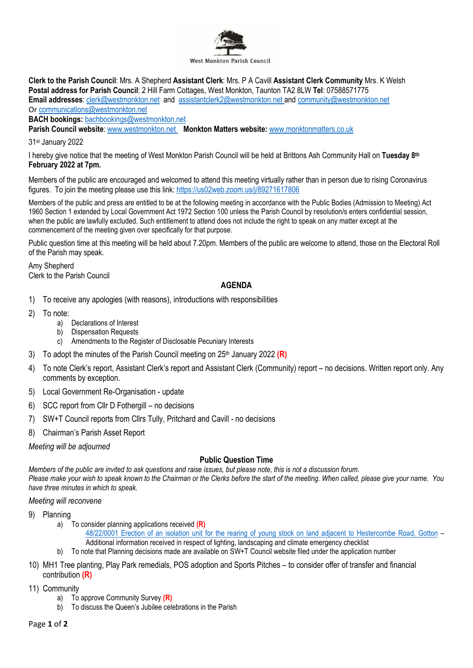

**Clerk to the Parish Council**: Mrs. A Shepherd **Assistant Clerk**: Mrs. P A Cavill **Assistant Clerk Community** Mrs. K Welsh **Postal address for Parish Council**: 2 Hill Farm Cottages, West Monkton, Taunton TA2 8LW **Tel**: 07588571775 **Email addresses**: [clerk@westmonkton.net](mailto:clerk@westmonkton.net) and [assistantclerk2@westmonkton.net](mailto:assistantclerk2@westmonkton.net) an[d community@westmonkton.net](mailto:community@westmonkton.net) Or [communications@westmonkton.net](mailto:communications@westmonkton.net)

**BACH bookings:** [bachbookings@westmonkton.net](mailto:bachbookings@westmonkton.net)

**Parish Council website**: [www.westmonkton.net](http://www.westmonkton.net/) **Monkton Matters website:** [www.monktonmatters.co.uk](http://www.monktonmatters.co.uk/)

31st January 2022

I hereby give notice that the meeting of West Monkton Parish Council will be held at Brittons Ash Community Hall on **Tuesday 8 th February 2022 at 7pm.**

Members of the public are encouraged and welcomed to attend this meeting virtually rather than in person due to rising Coronavirus figures. To join the meeting please use this link:<https://us02web.zoom.us/j/89271617806>

Members of the public and press are entitled to be at the following meeting in accordance with the Public Bodies (Admission to Meeting) Act 1960 Section 1 extended by Local Government Act 1972 Section 100 unless the Parish Council by resolution/s enters confidential session, when the public are lawfully excluded. Such entitlement to attend does not include the right to speak on any matter except at the commencement of the meeting given over specifically for that purpose.

Public question time at this meeting will be held about 7.20pm. Members of the public are welcome to attend, those on the Electoral Roll of the Parish may speak.

Amy Shepherd Clerk to the Parish Council

## **AGENDA**

- 1) To receive any apologies (with reasons), introductions with responsibilities
- 2) To note:
	- a) Declarations of Interest
	- b) Dispensation Requests
	- c) Amendments to the Register of Disclosable Pecuniary Interests
- 3) To adopt the minutes of the Parish Council meeting on 25<sup>th</sup> January 2022 (R)
- 4) To note Clerk's report, Assistant Clerk's report and Assistant Clerk (Community) report no decisions. Written report only. Any comments by exception.
- 5) Local Government Re-Organisation update
- 6) SCC report from Cllr D Fothergill no decisions
- 7) SW+T Council reports from Cllrs Tully, Pritchard and Cavill no decisions
- 8) Chairman's Parish Asset Report

*Meeting will be adjourned*

## **Public Question Time**

*Members of the public are invited to ask questions and raise issues, but please note, this is not a discussion forum.*

*Please make your wish to speak known to the Chairman or the Clerks before the start of the meeting. When called, please give your name. You have three minutes in which to speak.*

*Meeting will reconvene*

- 9) Planning
	- a) To consider planning applications received **(R)** [48/22/0001 Erection of an isolation unit for the rearing of young stock on land adjacent to Hestercombe Road, Gotton](https://www3.somersetwestandtaunton.gov.uk/asp/webpages/plan/PlAppDets.asp?casefullref=48/22/0001&QC=dhWC1) – Additional information received in respect of lighting, landscaping and climate emergency checklist
	- b) To note that Planning decisions made are available on SW+T Council website filed under the application number
- 10) MH1 Tree planting, Play Park remedials, POS adoption and Sports Pitches to consider offer of transfer and financial contribution **(R)**
- 11) Community
	- a) To approve Community Survey **(R)**
	- b) To discuss the Queen's Jubilee celebrations in the Parish